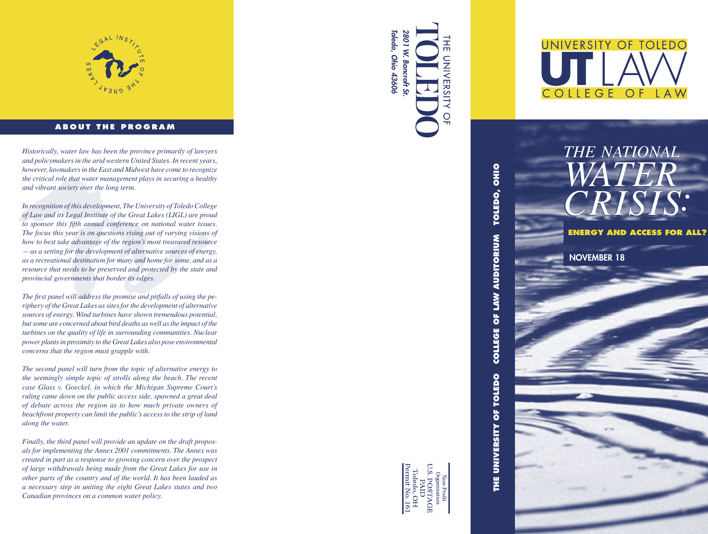

#### **ABOUT THE PROGRAM**

*Historically, water law has been the province primarily of lawyers and policymakers in the arid western United States. In recent years, however, lawmakers in the East and Midwest have come to recognize the critical role that water management plays in securing a healthy and vibrant society over the long term.*

*In recognition of this development, The University of Toledo College of Law and its Legal Institute of the Great Lakes (LIGL) are proud to sponsor this fifth annual conference on national water issues. The focus this year is on questions rising out of varying visions of how to best take advantage of the region's most treasured resource — as a setting for the development of alternative sources of energy, as a recreational destination for many and home for some, and as a resource that needs to be preserved and protected by the state and provincial governments that border its edges.*

*The first panel will address the promise and pitfalls of using the pe riphery of the Great Lakes as sites for the development of alternative sources of energy. Wind turbines have shown tremendous potential, but some are concerned about bird deaths as well as the impact of the turbines on the quality of life in surrounding communities. Nuclear power plants in proximity to the Great Lakes also pose environmental concerns that the region must grapple with.*

*The second panel will turn from the topic of alternative energy to the seemingly simple topic of strolls along the beach. The recent case Glass v. Goeckel, in which the Michigan Supreme Court's ruling came down on the public access side, spawned a great deal of debate across the region as to how much private owners of beachfront property can limit the public's access to the strip of land along the water.*

*Finally, the third panel will provide an update on the draft propos als for implementing the Annex 2001 commitments. The Annex was created in part as a response to growing concern over the prospect of large withdrawals being made from the Great Lakes for use in other parts of the country and of the world. It has been lauded as a necessary step in uniting the eight Great Lakes states and two Canadian provinces on a common water policy.* 

Toledo, Ohio 43606 **2801 W. Bancroft St** 2801 W. Bancroft St. Toledo, Ohio 43606 THE UNIVERSITY OF

> TOLEDO, OHIO **THE UNIVERSITY OF TOLEDO COLLEGE OF LAW AUDITORIUM TOLEDO, OHIO MAIN AUDITORIUM** COLLEGE OF THE UNIVERSITY OF TOLEDO



# *THE NATIONAL THE NATIONAL WATER CRISIS* **7** .<br>| . *WATER CRISIS :*

**ENERGY AND ACCESS FOR ALL?**

NOVEMBER 18

 $\begin{array}{ll} \text{Non-Profit} \\ \text{U.S. POSTAGE} \\ \text{PALD} \\ \text{Toledo, OH} \\ \text{Permit No. 161} \end{array}$